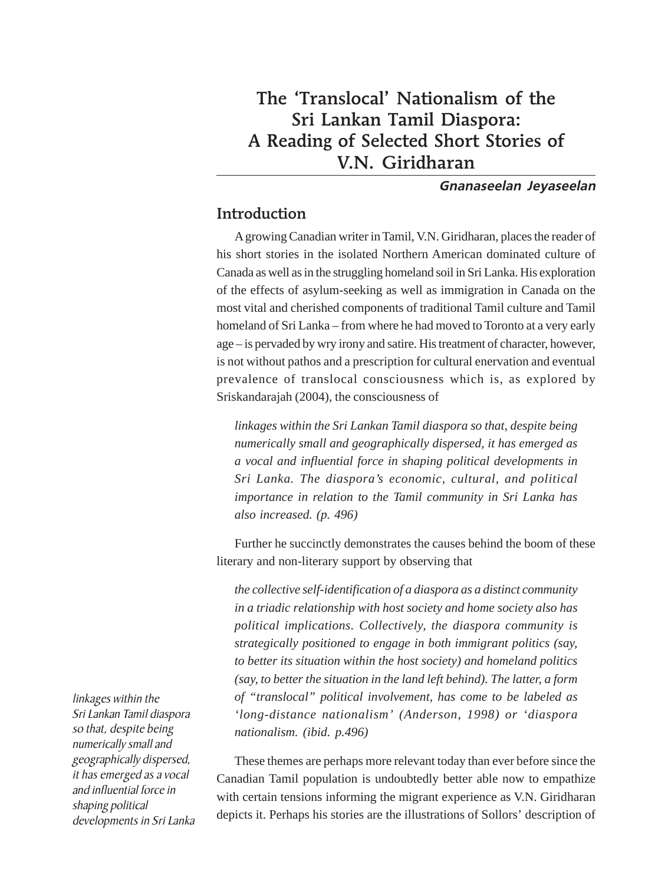# The 'Translocal' Nationalism of the Sri Lankan Tamil Diaspora: A Reading of Selected Short Stories of V.N. Giridharan

#### **Gnanaseelan Jeyaseelan**

## Introduction

A growing Canadian writer in Tamil, V.N. Giridharan, places the reader of his short stories in the isolated Northern American dominated culture of Canada as well as in the struggling homeland soil in Sri Lanka. His exploration of the effects of asylum-seeking as well as immigration in Canada on the most vital and cherished components of traditional Tamil culture and Tamil homeland of Sri Lanka – from where he had moved to Toronto at a very early age – is pervaded by wry irony and satire. His treatment of character, however, is not without pathos and a prescription for cultural enervation and eventual prevalence of translocal consciousness which is, as explored by Sriskandarajah (2004), the consciousness of

*linkages within the Sri Lankan Tamil diaspora so that, despite being numerically small and geographically dispersed, it has emerged as a vocal and influential force in shaping political developments in Sri Lanka. The diaspora's economic, cultural, and political importance in relation to the Tamil community in Sri Lanka has also increased. (p. 496)*

Further he succinctly demonstrates the causes behind the boom of these literary and non-literary support by observing that

*the collective self-identification of a diaspora as a distinct community in a triadic relationship with host society and home society also has political implications. Collectively, the diaspora community is strategically positioned to engage in both immigrant politics (say, to better its situation within the host society) and homeland politics (say, to better the situation in the land left behind). The latter, a form of "translocal" political involvement, has come to be labeled as 'long-distance nationalism' (Anderson, 1998) or 'diaspora nationalism. (ibid. p.496)*

These themes are perhaps more relevant today than ever before since the Canadian Tamil population is undoubtedly better able now to empathize with certain tensions informing the migrant experience as V.N. Giridharan depicts it. Perhaps his stories are the illustrations of Sollors' description of

linkages within the Sri Lankan Tamil diaspora so that, despite being numerically small and geographically dispersed, it has emerged as a vocal and influential force in shaping political developments in Sri Lanka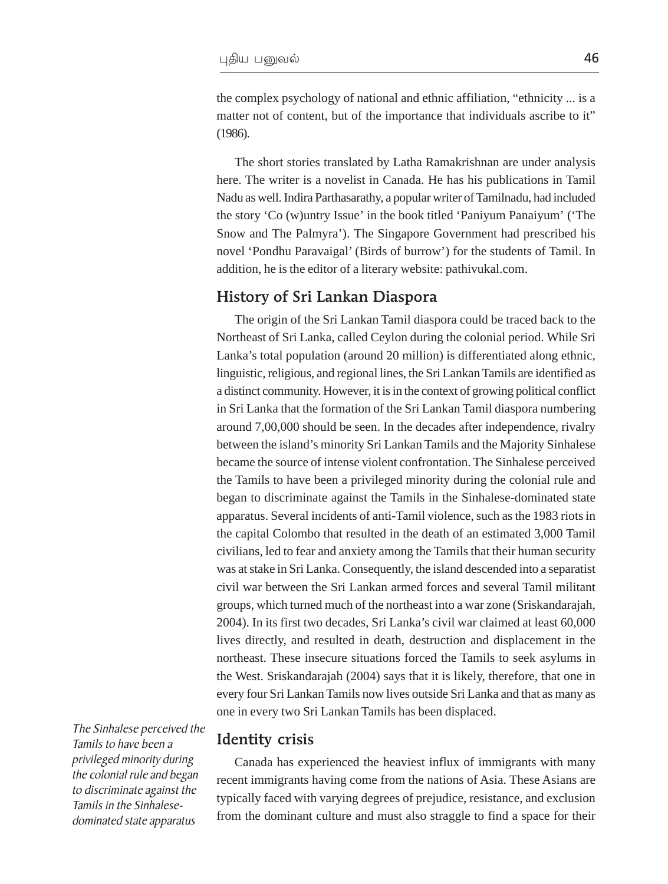the complex psychology of national and ethnic affiliation, "ethnicity ... is a matter not of content, but of the importance that individuals ascribe to it" (1986).

The short stories translated by Latha Ramakrishnan are under analysis here. The writer is a novelist in Canada. He has his publications in Tamil Nadu as well. Indira Parthasarathy, a popular writer of Tamilnadu, had included the story 'Co (w)untry Issue' in the book titled 'Paniyum Panaiyum' ('The Snow and The Palmyra'). The Singapore Government had prescribed his novel 'Pondhu Paravaigal' (Birds of burrow') for the students of Tamil. In addition, he is the editor of a literary website: pathivukal.com.

#### History of Sri Lankan Diaspora

The origin of the Sri Lankan Tamil diaspora could be traced back to the Northeast of Sri Lanka, called Ceylon during the colonial period. While Sri Lanka's total population (around 20 million) is differentiated along ethnic, linguistic, religious, and regional lines, the Sri Lankan Tamils are identified as a distinct community. However, it is in the context of growing political conflict in Sri Lanka that the formation of the Sri Lankan Tamil diaspora numbering around 7,00,000 should be seen. In the decades after independence, rivalry between the island's minority Sri Lankan Tamils and the Majority Sinhalese became the source of intense violent confrontation. The Sinhalese perceived the Tamils to have been a privileged minority during the colonial rule and began to discriminate against the Tamils in the Sinhalese-dominated state apparatus. Several incidents of anti-Tamil violence, such as the 1983 riots in the capital Colombo that resulted in the death of an estimated 3,000 Tamil civilians, led to fear and anxiety among the Tamils that their human security was at stake in Sri Lanka. Consequently, the island descended into a separatist civil war between the Sri Lankan armed forces and several Tamil militant groups, which turned much of the northeast into a war zone (Sriskandarajah, 2004). In its first two decades, Sri Lanka's civil war claimed at least 60,000 lives directly, and resulted in death, destruction and displacement in the northeast. These insecure situations forced the Tamils to seek asylums in the West. Sriskandarajah (2004) says that it is likely, therefore, that one in every four Sri Lankan Tamils now lives outside Sri Lanka and that as many as one in every two Sri Lankan Tamils has been displaced.

The Sinhalese perceived the Tamils to have been a privileged minority during the colonial rule and began to discriminate against the Tamils in the Sinhalesedominated state apparatus

#### Identity crisis

Canada has experienced the heaviest influx of immigrants with many recent immigrants having come from the nations of Asia. These Asians are typically faced with varying degrees of prejudice, resistance, and exclusion from the dominant culture and must also straggle to find a space for their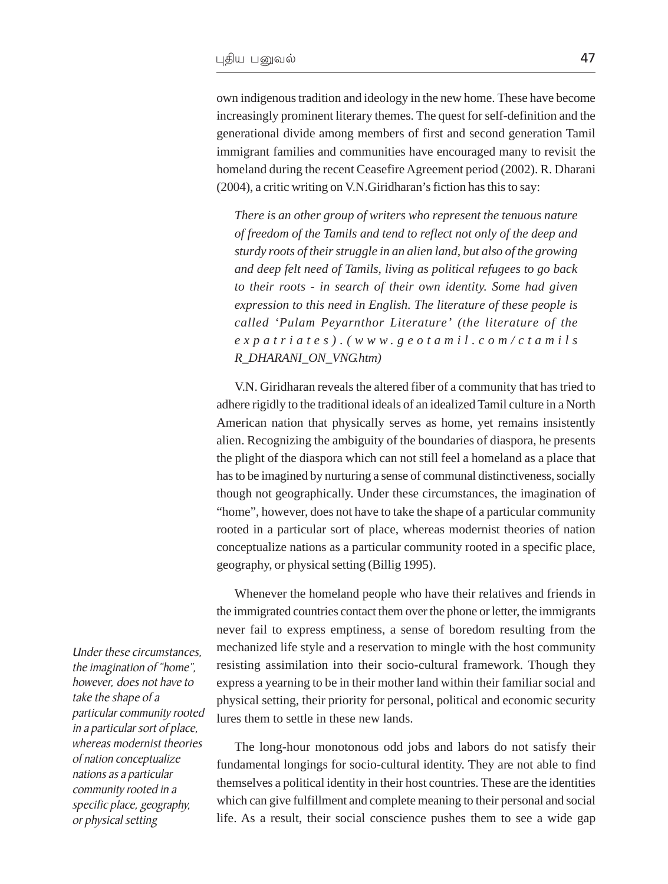own indigenous tradition and ideology in the new home. These have become increasingly prominent literary themes. The quest for self-definition and the generational divide among members of first and second generation Tamil immigrant families and communities have encouraged many to revisit the homeland during the recent Ceasefire Agreement period (2002). R. Dharani (2004), a critic writing on V.N.Giridharan's fiction has this to say:

*There is an other group of writers who represent the tenuous nature [of freedom of the Tamils and tend to reflect not only of the deep and](#page-3-0) sturdy roots of their struggle in an alien land, but also of the growing and deep felt need of Tamils, living as political refugees to go back to their roots - in search of their own identity. Some had given [expression to this need in English. The literature of these people is](#page-4-0) called 'Pulam Peyarnthor Literature' (the literature of the expatriates).(www.geotamil.com/ctamils R\_DHARANI\_ON\_VNG.htm)*

V.N. Giridharan reveals the altered fiber of a community that has tried to adhere rigidly to the traditional ideals of an idealized Tamil culture in a North American nation that physically serves as home, yet remains insistently alien. Recognizing the ambiguity of the boundaries of diaspora, he presents the plight of the diaspora which can not still feel a homeland as a place that has to be imagined by nurturing a sense of communal distinctiveness, socially though not geographically. Under these circumstances, the imagination of "home", however, does not have to take the shape of a particular community rooted in a particular sort of place, whereas modernist theories of nation conceptualize nations as a particular community rooted in a specific place, geography, or physical setting (Billig 1995).

Whenever the homeland people who have their relatives and friends in the immigrated countries contact them over the phone or letter, the immigrants never fail to express emptiness, a sense of boredom resulting from the mechanized life style and a reservation to mingle with the host community resisting assimilation into their socio-cultural framework. Though they express a yearning to be in their mother land within their familiar social and physical setting, their priority for personal, political and economic security lures them to settle in these new lands.

The long-hour monotonous odd jobs and labors do not satisfy their fundamental longings for socio-cultural identity. They are not able to find themselves a political identity in their host countries. These are the identities which can give fulfillment and complete meaning to their personal and social life. As a result, their social conscience pushes them to see a wide gap

Under these circumstances, the imagination of "home", however, does not have to take the shape of a particular community rooted in a particular sort of place, whereas modernist theories of nation conceptualize nations as a particular community rooted in a specific place, geography, or physical setting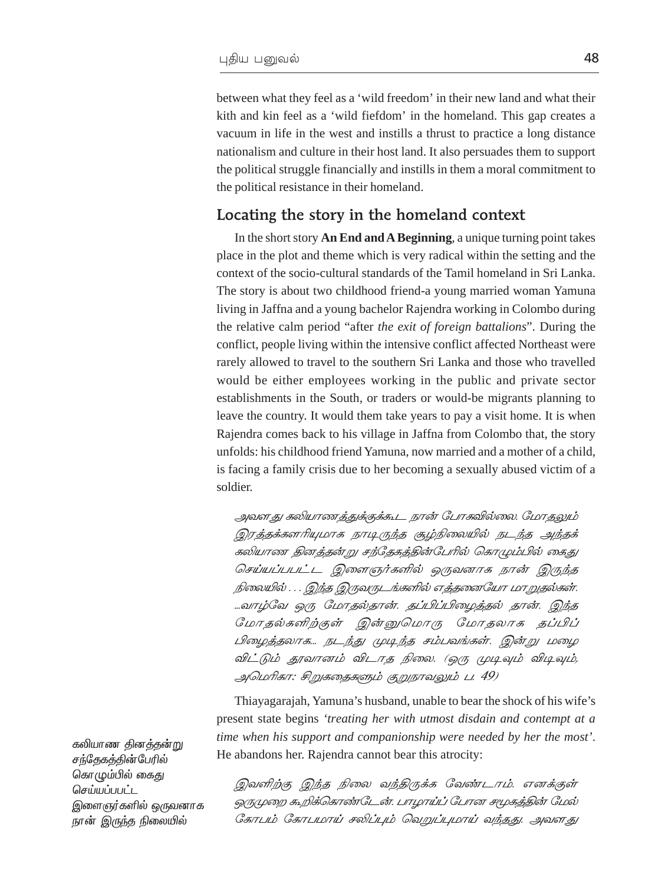<span id="page-3-0"></span>between what they feel as a 'wild freedom' in their new land and what their kith and kin feel as a 'wild fiefdom' in the homeland. This gap creates a vacuum in life in the west and instills a thrust to practice a long distance nationalism and culture in their host land. It also persuades them to support the political struggle financially and instills in them a moral commitment to the political resistance in their homeland.

#### Locating the story in the homeland context

In the short story **An End and A Beginning**, a unique turning point takes place in the plot and theme which is very radical within the setting and the context of the socio-cultural standards of the Tamil homeland in Sri Lanka. The story is about two childhood friend-a young married woman Yamuna living in Jaffna and a young bachelor Rajendra working in Colombo during the relative calm period "after *the exit of foreign battalions*". During the conflict, people living within the intensive conflict affected Northeast were rarely allowed to travel to the southern Sri Lanka and those who travelled would be either employees working in the public and private sector establishments in the South, or traders or would-be migrants planning to leave the country. It would them take years to pay a visit home. It is when Rajendra comes back to his village in Jaffna from Colombo that, the story unfolds: his childhood friend Yamuna, now married and a mother of a child, is facing a family crisis due to her becoming a sexually abused victim of a soldier.

அவளது கலியாணத்துக்குக்கூட நான் போகவில்லை. மோதலும் இரத்தக்களரியுமாக நாடிருந்த சூழ்நிலையில் நடந்த அந்தக் கலியாண தினத்தன்று சந்தேகத்தின்பேரில் கொழும்பில் கைது செய்யப்பபட்ட இளைஞர்களில் ஒருவனாக நான் இருந்த நிலையில் . . . இந்த இருவருடங்களில் எத்தனையோ மாறுதல்கள். ...வாழ்வே ஒரு மோதல்தான். தப்பிப்பிழைத்தல் தான். இந்த மோதல்களிற்குள் இன்னுமொரு மோதலாக தப்பிப் பிழைத்தலாக... நடந்து முடிந்த சம்பவங்கள். இன்று மழை விட்டும் தூவானம் விடாத நிலை. (ஒரு முடிவும் விடிவும், அமெரிகா: சிறுகதைகளும் குறுநாவலும் ப. 49)

Thiayagarajah, Yamuna's husband, unable to bear the shock of his wife's present state begins *'treating her with utmost disdain and contempt at a time when his support and companionship were needed by her the most'*. He abandons her. Rajendra cannot bear this atrocity:

இவளிற்கு இந்த நிலை வந்திருக்க வேண்டாம். எனக்குள் லாமுறை கூறிக்கொண்டேன். பாமாய்ப் போன சமூகத்தின் மேல் கோபம் கோபமாய் சலிப்பும் வெறுப்புமாய் வந்தது. அவளது

கலியாண தினத்தன்று சந்தேகக்கின்பேரில் கொழும்பில் கை<u>து</u> செய்யப்பபட்ட இளைஞர்களில் ஒருவனாக நான் இருந்த நிலையில்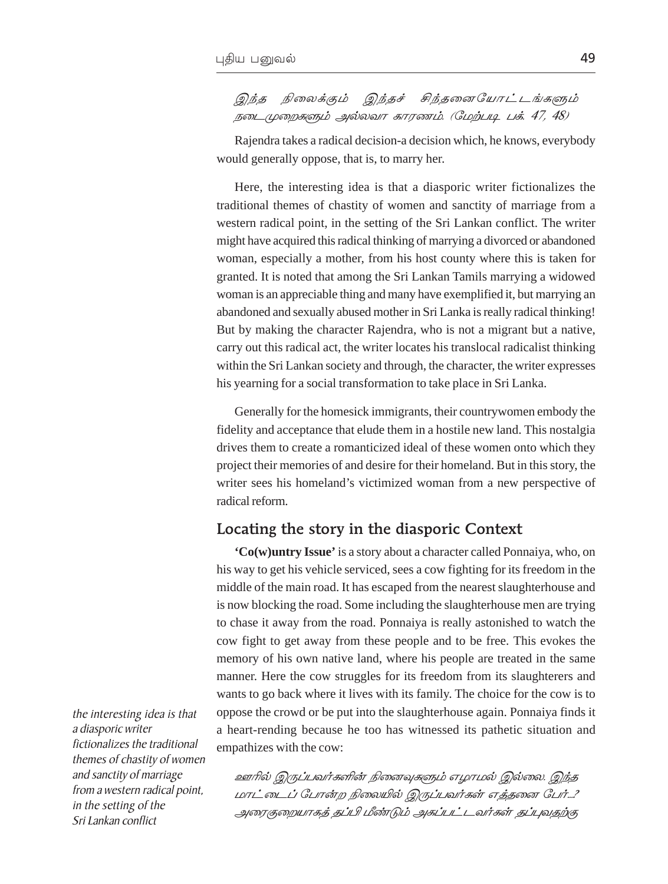<span id="page-4-0"></span>இந்த நிலைக்கும் இந்தச் சிந்தனையோட்டங்களும்  $I$ நடைமுறைகளும் அல்லவா காரணம். (மேற்படி பக். 47, 48)

Rajendra takes a radical decision-a decision which, he knows, everybody would generally oppose, that is, to marry her.

Here, the interesting idea is that a diasporic writer fictionalizes the traditional themes of chastity of women and sanctity of marriage from a western radical point, in the setting of the Sri Lankan conflict. The writer might have acquired this radical thinking of marrying a divorced or abandoned woman, especially a mother, from his host county where this is taken for granted. It is noted that among the Sri Lankan Tamils marrying a widowed woman is an appreciable thing and many have exemplified it, but marrying an abandoned and sexually abused mother in Sri Lanka is really radical thinking! But by making the character Rajendra, who is not a migrant but a native, carry out this radical act, the writer locates his translocal radicalist thinking within the Sri Lankan society and through, the character, the writer expresses his yearning for a social transformation to take place in Sri Lanka.

Generally for the homesick immigrants, their countrywomen embody the fidelity and acceptance that elude them in a hostile new land. This nostalgia drives them to create a romanticized ideal of these women onto which they project their memories of and desire for their homeland. But in this story, the writer sees his homeland's victimized woman from a new perspective of radical reform.

## Locating the story in the diasporic Context

**'Co(w)untry Issue'** is a story about a character called Ponnaiya, who, on his way to get his vehicle serviced, sees a cow fighting for its freedom in the middle of the main road. It has escaped from the nearest slaughterhouse and is now blocking the road. Some including the slaughterhouse men are trying to chase it away from the road. Ponnaiya is really astonished to watch the cow fight to get away from these people and to be free. This evokes the memory of his own native land, where his people are treated in the same manner. Here the cow struggles for its freedom from its slaughterers and wants to go back where it lives with its family. The choice for the cow is to oppose the crowd or be put into the slaughterhouse again. Ponnaiya finds it a heart-rending because he too has witnessed its pathetic situation and empathizes with the cow:

the interesting idea is that a diasporic writer fictionalizes the traditional themes of chastity of women and sanctity of marriage from a western radical point, in the setting of the Sri Lankan conflict

உளரில் இருப்பவர்களின் நினைவுகளும் எழாமல் இல்லை. இந்த மாட்டைப் போன்ற நிலையில் இருப்பவர்கள் எத்தனை பேர்...? அரைகுறையாகத் தப்பி மீண்டும் அகப்பட்டவர்கள் தப்புவதற்கு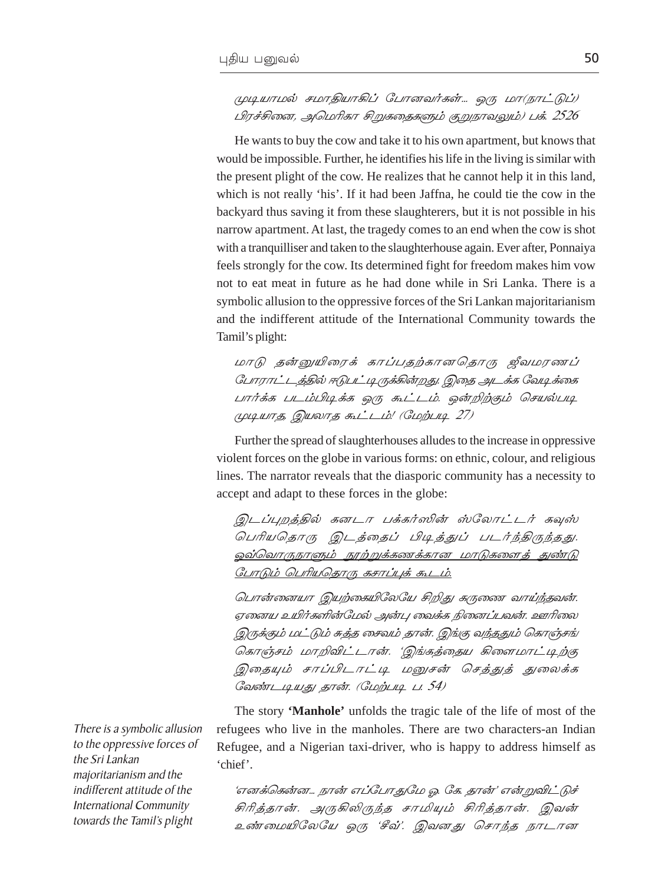## முடியாமல் சமாதியாகிப் போனவர்கள்... ஒரு மா(நாட்டுப்) பிரச்சினை, அமெரிகா சிறுகதைகளும் குறுநாவலும்) பக். 2526

He wants to buy the cow and take it to his own apartment, but knows that would be impossible. Further, he identifies his life in the living is similar with the present plight of the cow. He realizes that he cannot help it in this land, which is not really 'his'. If it had been Jaffna, he could tie the cow in the backyard thus saving it from these slaughterers, but it is not possible in his narrow apartment. At last, the tragedy comes to an end when the cow is shot with a tranquilliser and taken to the slaughterhouse again. Ever after, Ponnaiya feels strongly for the cow. Its determined fight for freedom makes him yow not to eat meat in future as he had done while in Sri Lanka. There is a symbolic allusion to the oppressive forces of the Sri Lankan majoritarianism and the indifferent attitude of the International Community towards the Tamil's plight:

மாடு தன்னுயிரைக் காப்பதற்கானதொரு ஜீவமரணப் போராட்டத்தில் ஈடுபட்டிருக்கின்றது. இதை அடக்க வேடிக்கை பார்க்க படம்பிடிக்க ஒரு கூட்டம். ஒன்றிற்கும் செயல்படி ( $\mu$ )  $\mu$  $\pi$  $\pi$ , இயலாத கூட்டம்! (மேற்படி 27)

Further the spread of slaughterhouses alludes to the increase in oppressive violent forces on the globe in various forms: on ethnic, colour, and religious lines. The narrator reveals that the diasporic community has a necessity to accept and adapt to these forces in the globe:

இடப்புறத்தில் கனடா பக்கர்ஸின் ஸ்லோட்டர் கவுஸ் பெரியதொரு இடத்தைப் பிடித்துப் படர்ந்திருந்தது. <u>ஒவ்வொருநாளும் நூற்றுக்கணக்கான மாடுகளைத் துண்டு</u> СПТДИ ОПТИОБТ(Б БЕТИЦЕ БА

பொன்னையா இயற்கையிலேயே சிறிது கருணை வாய்ந்தவன். ஏனைய உயிர்களின்மேல் அன்பு வைக்க நினைப்பவன். ஊரிலை இருக்கும் மட்டும் சுத்த சைவம் தான். இங்கு வந்ததும் கொஞ்சங் கொஞ்சம் மாறிவிட்டான். 'இங்கத்தைய கிளைமாட்டிற்கு இதையும் சாப்பிடாட்டி மனுசன் செத்துத் துலைக்க வேண்டடியது தான். (மேற்படி ப. 54)

The story 'Manhole' unfolds the tragic tale of the life of most of the refugees who live in the manholes. There are two characters-an Indian Refugee, and a Nigerian taxi-driver, who is happy to address himself as 'chief'.

'எனக்கென்ன… நான் எப்போதுமே ஓ. கே. தான்' என்றுவிட்டுச் சிரித்தான். அருகிலிருந்த சாமியும் சிரித்தான். இவன் உண்மையிலேயே ஒரு 'சீவ்'. இவனது சொந்த நாடான

There is a symbolic allusion to the oppressive forces of the Sri Lankan majoritarianism and the indifferent attitude of the **International Community** towards the Tamil's plight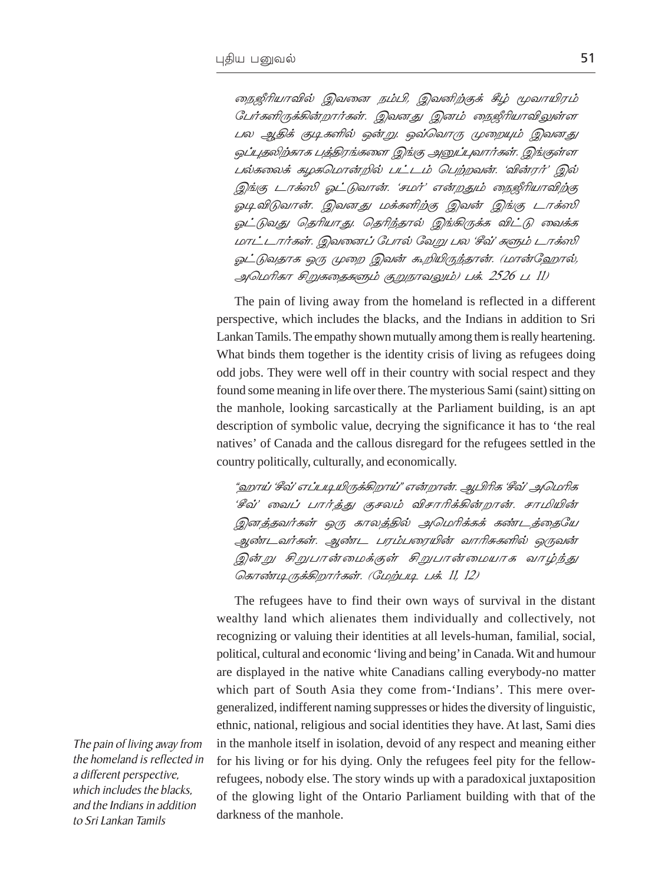நைஜீரியாவில் இவனை நம்பி, இவனிற்குக் கீழ் மூவாயிரம் பேர்களிருக்கின்றார்கள். இவனது இனம் நைஜீரியாவிலுள்ள பல ஆதிக் குடிகளில் ஒன்று. ஒவ்வொரு முறையும் இவனது ஒப்புதலிற்காக பத்திரங்களை இங்கு அனுப்புவார்கள். இங்குள்ள பல்கலைக் கழகமொன்றில் பட்டம் பெற்றவன். 'வின்ரர்' இல் இங்கு டாக்ஸி ஓட்டுவான். 'சமர்' என்றதும் நைஜீரியாவிற்கு ஓடிவிடுவான். இவனது மக்களிற்கு இவன் இங்கு டாக்ஸி ஓட்டுவது தெரியாது. தெரிந்தால் இங்கிருக்க விட்டு வைக்க மாட்டார்கள். இவனைப் போல் வேறு பல 'சீவ்' களும் டாக்ஸி ஓட்டுவதாக ஒரு முறை இவன் கூறியிருந்தான். (மான்ஹோல், அமெரிகா சிறுகதைகளும் குறுநாவலும்) பக். 2526 ப. 11)

The pain of living away from the homeland is reflected in a different perspective, which includes the blacks, and the Indians in addition to Sri Lankan Tamils. The empathy shown mutually among them is really heartening. What binds them together is the identity crisis of living as refugees doing odd jobs. They were well off in their country with social respect and they found some meaning in life over there. The mysterious Sami (saint) sitting on the manhole, looking sarcastically at the Parliament building, is an apt description of symbolic value, decrying the significance it has to 'the real natives' of Canada and the callous disregard for the refugees settled in the country politically, culturally, and economically.

"ஹாய் 'சீவ்' எப்படியிருக்கிறாய்" என்றான். ஆபிரிக 'சீவ்' அமெரிக 'சீவ்' வைப் பார்த்து குசலம் விசாரிக்கின்றான். சாமியின் இனத்தவர்கள் ஒரு காலத்தில் அமெரிக்கக் கண்டத்தையே ஆண்டவர்கள். ஆண்ட பரம்பரையின் வாரிசுகளில் ஒருவன் இன்று சிறுபான்மைக்குள் சிறுபான்மையாக வாழ்ந்து கொண்டிருக்கிறார்கள். (மேற்படி பக். 11, 12)

The refugees have to find their own ways of survival in the distant wealthy land which alienates them individually and collectively, not recognizing or valuing their identities at all levels-human, familial, social, political, cultural and economic 'living and being' in Canada. Wit and humour are displayed in the native white Canadians calling everybody-no matter which part of South Asia they come from-'Indians'. This mere overgeneralized, indifferent naming suppresses or hides the diversity of linguistic, ethnic, national, religious and social identities they have. At last, Sami dies in the manhole itself in isolation, devoid of any respect and meaning either for his living or for his dying. Only the refugees feel pity for the fellowrefugees, nobody else. The story winds up with a paradoxical juxtaposition of the glowing light of the Ontario Parliament building with that of the darkness of the manhole.

The pain of living away from the homeland is reflected in a different perspective, which includes the blacks. and the Indians in addition to Sri Lankan Tamils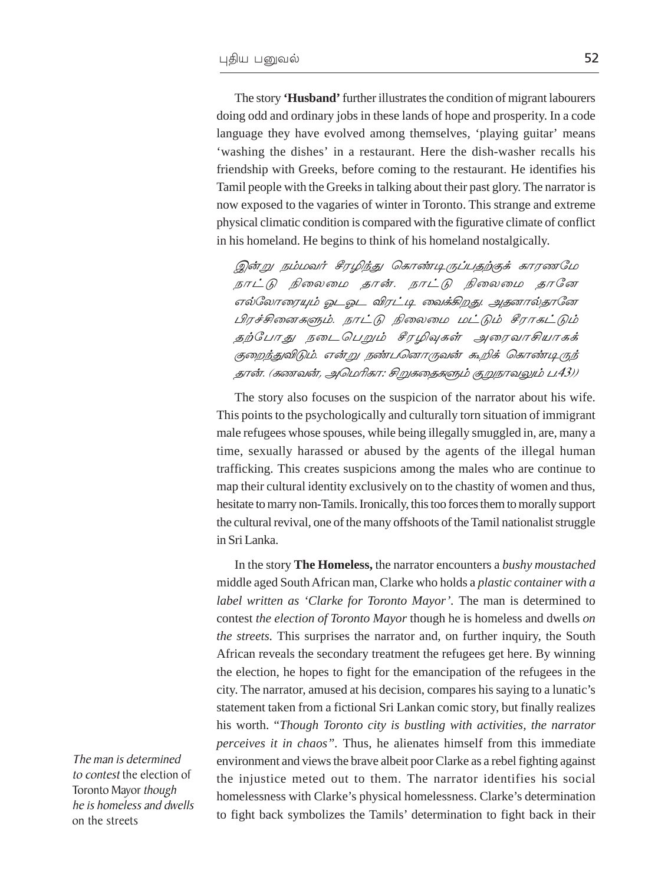The story 'Husband' further illustrates the condition of migrant labourers doing odd and ordinary jobs in these lands of hope and prosperity. In a code language they have evolved among themselves, 'playing guitar' means 'washing the dishes' in a restaurant. Here the dish-washer recalls his friendship with Greeks, before coming to the restaurant. He identifies his Tamil people with the Greeks in talking about their past glory. The narrator is now exposed to the vagaries of winter in Toronto. This strange and extreme physical climatic condition is compared with the figurative climate of conflict in his homeland. He begins to think of his homeland nostalgically.

இன்று நம்மவர் சீரழிந்து கொண்டிருப்பதற்குக் காரணமே நாட்டு நிலைமை தான். நாட்டு நிலைமை தானே எல்லோரையும் ஓடஓட விரட்டி வைக்கிறது. அதனால்தானே பிரச்சினைகளும். நாட்டு நிலைமை மட்டும் சீராகட்டும் தற்போது நடைபெறும் சீரழிவுகள் அரைவாசியாகக் குறைந்துவிடும். என்று நண்பனொருவன் கூறிக் கொண்டிருந் தான். (கணவன், அமெரிகா: சிறுகதைகளும் குறுநாவலும் ப.43))

The story also focuses on the suspicion of the narrator about his wife. This points to the psychologically and culturally torn situation of immigrant male refugees whose spouses, while being illegally smuggled in, are, many a time, sexually harassed or abused by the agents of the illegal human trafficking. This creates suspicions among the males who are continue to map their cultural identity exclusively on to the chastity of women and thus, hesitate to marry non-Tamils. Ironically, this too forces them to morally support the cultural revival, one of the many offshoots of the Tamil nationalist struggle in Sri Lanka.

In the story The Homeless, the narrator encounters a bushy moustached middle aged South African man, Clarke who holds a plastic container with a label written as 'Clarke for Toronto Mayor'. The man is determined to contest the election of Toronto Mayor though he is homeless and dwells on *the streets*. This surprises the narrator and, on further inquiry, the South African reveals the secondary treatment the refugees get here. By winning the election, he hopes to fight for the emancipation of the refugees in the city. The narrator, amused at his decision, compares his saying to a lunatic's statement taken from a fictional Sri Lankan comic story, but finally realizes his worth. "Though Toronto city is bustling with activities, the narrator perceives it in chaos". Thus, he alienates himself from this immediate environment and views the brave albeit poor Clarke as a rebel fighting against the injustice meted out to them. The narrator identifies his social homelessness with Clarke's physical homelessness. Clarke's determination to fight back symbolizes the Tamils' determination to fight back in their

The man is determined to contest the election of Toronto Mayor though he is homeless and dwells on the streets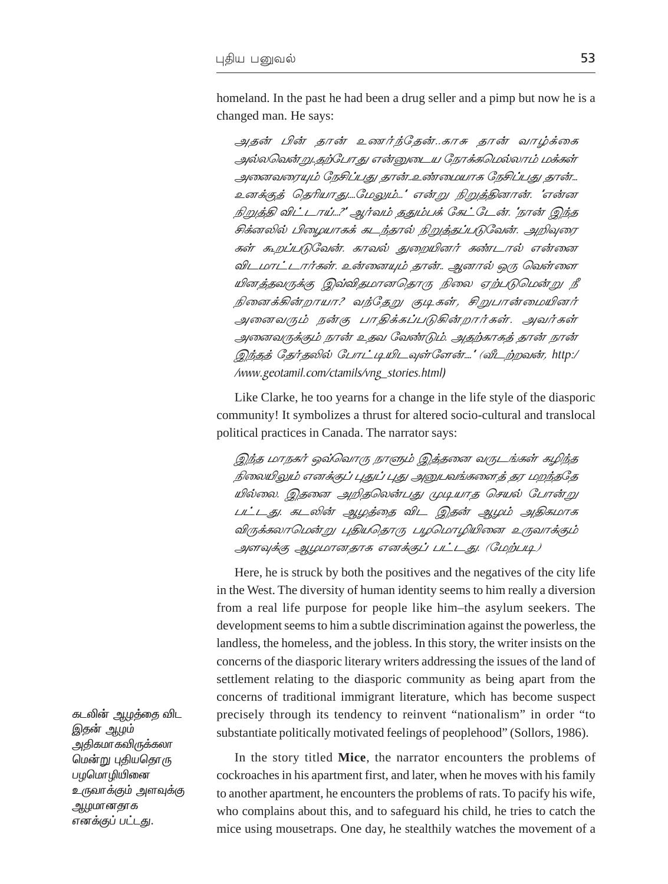homeland. In the past he had been a drug seller and a pimp but now he is a changed man. He says:

அதன் பின் தான் உணர்ந்தேன்..காசு தான் வாழ்க்கை அல்லவென்று..தற்போது என்னுடைய நோக்கமெல்லாம் மக்கள் அனைவரையும் நேசிப்பது தான்..உண்மையாக நேசிப்பது தான்... உனக்குத் தெரியாது....மேலும்..." என்று நிறுத்தினான். "என்ன நிறுத்தி விட்டாய்...?' ஆர்வம் ததும்பக் கேட்டேன். 'நான் இந்த சிக்னலில் பிழையாகக் கடந்தால் நிறுத்தப்படுவேன். அறிவுரை கள் கூறப்படுவேன். காவல் துறையினர் கண்டால் என்னை விடமாட்டார்கள். உன்னையும் தான்.. ஆனால் ஒரு வெள்ளை யினத்தவருக்கு இவ்விதமானதொரு நிலை ஏற்படுமென்று நீ நினைக்கின்றாயா? வந்தேறு குடிகள், சிறுபான்மையினர் அனைவரும் நன்கு பாதிக்கப்படுகின்றார்கள். அவர்கள் அனைவருக்கும் நான் உதவ வேண்டும். அதற்காகத் தான் நான் இந்தத் தேர்தலில் போட்டியிடவுள்ளேன்....' (வீடற்றவன், http:/ /www.geotamil.com/ctamils/vng\_stories.html)

Like Clarke, he too yearns for a change in the life style of the diasporic community! It symbolizes a thrust for altered socio-cultural and translocal political practices in Canada. The narrator says:

இந்த மாநகர் ஒவ்வொரு நாளும் இத்தனை வருடங்கள் கழிந்த நிலையிலும் எனக்குப் புதுப் புது அனுபவங்களைத் தர மறந்ததே யில்லை. இதனை அறிதலென்பது முடியாத செயல் போன்று பட்டது. கடலின் ஆழத்தை விட இதன் ஆழம் அதிகமாக விருக்கலாமென்று புதியதொரு பழமொழியினை உருவாக்கும் அளவுக்கு ஆழமானதாக எனக்குப் பட்டது. (மேற்படி)

Here, he is struck by both the positives and the negatives of the city life in the West. The diversity of human identity seems to him really a diversion from a real life purpose for people like him-the asylum seekers. The development seems to him a subtle discrimination against the powerless, the landless, the homeless, and the jobless. In this story, the writer insists on the concerns of the diasporic literary writers addressing the issues of the land of settlement relating to the diasporic community as being apart from the concerns of traditional immigrant literature, which has become suspect precisely through its tendency to reinvent "nationalism" in order "to substantiate politically motivated feelings of peoplehood" (Sollors, 1986).

In the story titled Mice, the narrator encounters the problems of cockroaches in his apartment first, and later, when he moves with his family to another apartment, he encounters the problems of rats. To pacify his wife, who complains about this, and to safeguard his child, he tries to catch the mice using mousetraps. One day, he stealthily watches the movement of a

கடலின் ஆழத்தை விட இதன் ஆழம் அதிகமாகவிருக்கலா மென்று புதியதொரு பழமொழியினை உருவாக்கும் அளவுக்கு ஆழமானதாக எனக்குப் பட்டது.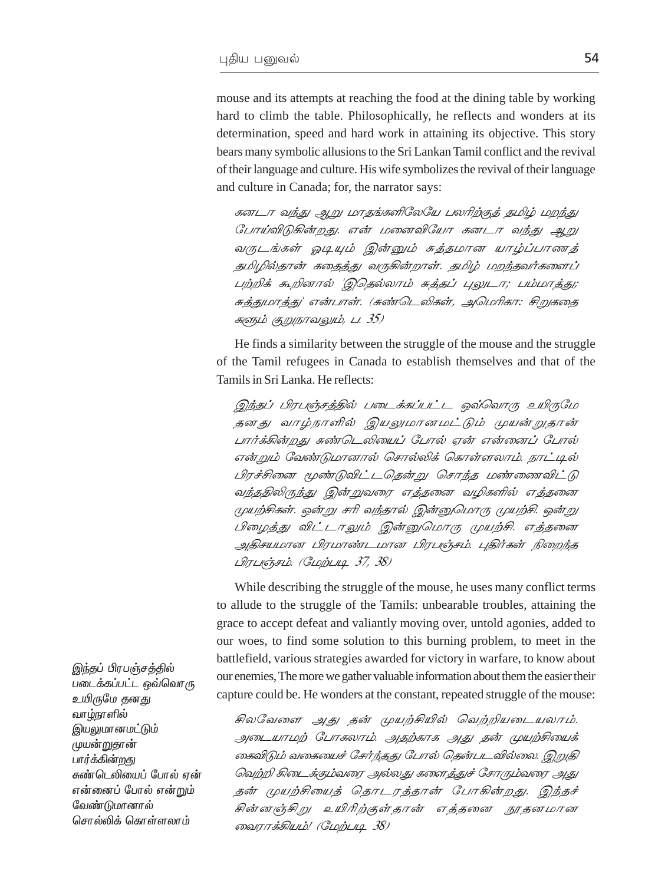mouse and its attempts at reaching the food at the dining table by working hard to climb the table. Philosophically, he reflects and wonders at its determination, speed and hard work in attaining its objective. This story bears many symbolic allusions to the Sri Lankan Tamil conflict and the revival of their language and culture. His wife symbolizes the revival of their language and culture in Canada; for, the narrator says:

கனடா வந்து ஆறு மாதங்களிலேயே பலரிற்குத் தமிழ் மறந்து போய்விடுகின்றது. என் மனைவியோ கனடா வந்து ஆறு வருடங்கள் ஓடியும் இன்னும் சுத்தமான யாழ்ப்பாணத் தமிழில்தான் கதைத்து வருகின்றாள். தமிழ் மறந்தவர்களைப் பற்றிக் கூறினால் 'இதெல்லாம் சுத்தப் புலுடா; பம்மாத்து; சுத்துமாத்து' என்பாள். (சுண்டெலிகள், அமெரிகா: சிறுகதை களும் குறுநாவலும், ப. 35)

He finds a similarity between the struggle of the mouse and the struggle of the Tamil refugees in Canada to establish themselves and that of the Tamils in Sri Lanka. He reflects:

இந்தப் பிரபஞ்சத்தில் படைக்கப்பட்ட ஒவ்வொரு உயிருமே தனது வாழ்நாளில் இயலுமானமட்டும் முயன்றுதான் பார்க்கின்றது சுண்டெலியைப் போல் ஏன் என்னைப் போல் என்றும் வேண்டுமானால் சொல்லிக் கொள்ளலாம். நாட்டில் பிரச்சினை மூண்டுவிட்டதென்று சொந்த மண்ணைவிட்டு வந்ததிலிருந்து இன்றுவரை எத்தனை வழிகளில் எத்தனை முயற்சிகள். ஒன்று சரி வந்தால் இன்னுமொரு முயற்சி. ஒன்று பிழைத்து விட்டாலும் இன்னுமொரு முயற்சி. எத்தனை அதிசயமான பிரமாண்டமான பிரபஞ்சம். புதிர்கள் நிறைந்த  $L$  $H$  $L$ u $\epsilon$  $\bar{b}$  $F$ L $\dot{b}$ . ( $GL$  $\dot{B}$  $L$  $H$  $I$  $I$  $I$  $J$  $J$  $J$  $J$  $S$ )

While describing the struggle of the mouse, he uses many conflict terms to allude to the struggle of the Tamils: unbearable troubles, attaining the grace to accept defeat and valiantly moving over, untold agonies, added to our woes, to find some solution to this burning problem, to meet in the battlefield, various strategies awarded for victory in warfare, to know about our enemies, The more we gather valuable information about them the easier their capture could be. He wonders at the constant, repeated struggle of the mouse:

சிலவேளை அது தன் முயற்சியில் வெற்றியடையலாம். அடையாமற் போகலாம். அதற்காக அது தன் முயற்சியைக் கைவிடும் வகையைச் சேர்ந்தது போல் தென்படவில்லை. இறுதி வெற்றி கிடைக்கும்வரை அல்லது களைத்துச் சோரும்வரை அது தன் முயற்சியைத் தொடரத்தான் போகின்றது. இந்தச் சின்னஞ்சிறு உயிரிற்குள்தான் எத்தனை நூதனமான லைராக்கியம்! (மேற்படி 38)

இந்தப் பிரபஞ்சத்தில் படைக்கப்பட்ட ஒவ்வொரு உயிருமே தனது வாழ்நாளில் இயலுமானமட்டும் முயன்றுதான் பார்க்கின்றது சுண்டெலியைப் போல் ஏன் என்னைப் போல் என்றும் வேண்டுமா*னா*ல் சொல்லிக் கொள்ளலாம்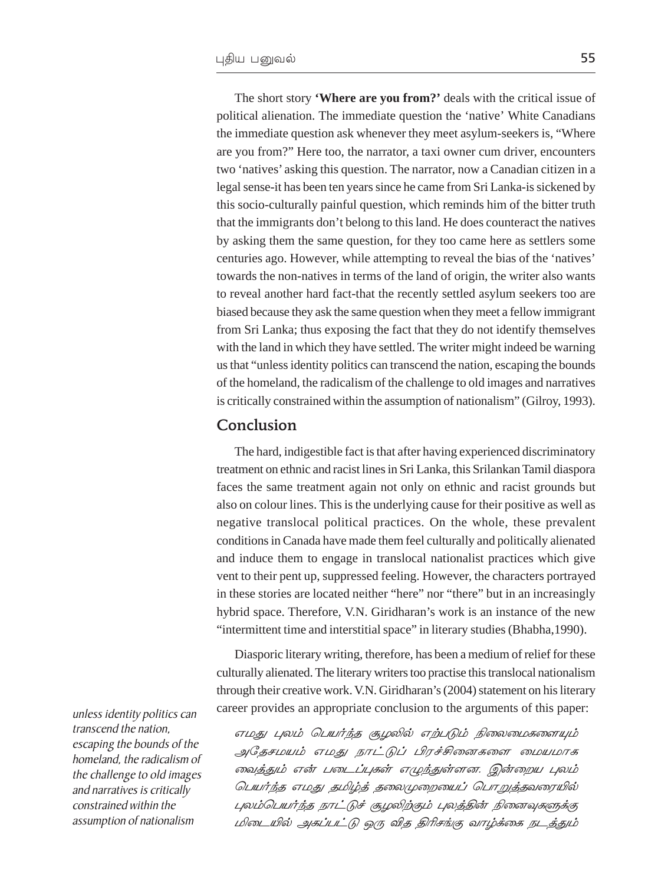The short story **'Where are you from?'** deals with the critical issue of political alienation. The immediate question the 'native' White Canadians the immediate question ask whenever they meet asylum-seekers is, "Where are you from?" Here too, the narrator, a taxi owner cum driver, encounters two 'natives' asking this question. The narrator, now a Canadian citizen in a legal sense-it has been ten years since he came from Sri Lanka-is sickened by this socio-culturally painful question, which reminds him of the bitter truth that the immigrants don't belong to this land. He does counteract the natives by asking them the same question, for they too came here as settlers some centuries ago. However, while attempting to reveal the bias of the 'natives' towards the non-natives in terms of the land of origin, the writer also wants to reveal another hard fact-that the recently settled asylum seekers too are biased because they ask the same question when they meet a fellow immigrant from Sri Lanka; thus exposing the fact that they do not identify themselves with the land in which they have settled. The writer might indeed be warning us that "unless identity politics can transcend the nation, escaping the bounds of the homeland, the radicalism of the challenge to old images and narratives is critically constrained within the assumption of nationalism" (Gilroy, 1993).

#### Conclusion

The hard, indigestible fact is that after having experienced discriminatory treatment on ethnic and racist lines in Sri Lanka, this Srilankan Tamil diaspora faces the same treatment again not only on ethnic and racist grounds but also on colour lines. This is the underlying cause for their positive as well as negative translocal political practices. On the whole, these prevalent conditions in Canada have made them feel culturally and politically alienated and induce them to engage in translocal nationalist practices which give vent to their pent up, suppressed feeling. However, the characters portrayed in these stories are located neither "here" nor "there" but in an increasingly hybrid space. Therefore, V.N. Giridharan's work is an instance of the new "intermittent time and interstitial space" in literary studies (Bhabha,1990).

Diasporic literary writing, therefore, has been a medium of relief for these culturally alienated. The literary writers too practise this translocal nationalism through their creative work. V.N. Giridharan's (2004) statement on his literary career provides an appropriate conclusion to the arguments of this paper:

 $\sigma$ அதேசமயம் எமது நாட்டுப் பிரச்சினைகளை மையமாக வைத்தும் என் படைப்புகள் எழுந்துள்ளன. இன்றைய புலம் ் பெயர்ந்த எமது தமிழ்த் தலைமுறையைப் பொறுத்தவரையில் புலம்பெயர்ந்த நாட்டுச் சூழலிற்கும் புலத்தின் நினைவுகளுக்கு பிடையில் அகப்பட்டு ஒரு வித திரிசங்கு வாழ்க்கை நடத்தும்

unless identity politics can transcend the nation, escaping the bounds of the homeland, the radicalism of the challenge to old images and narratives is critically constrained within the assumption of nationalism